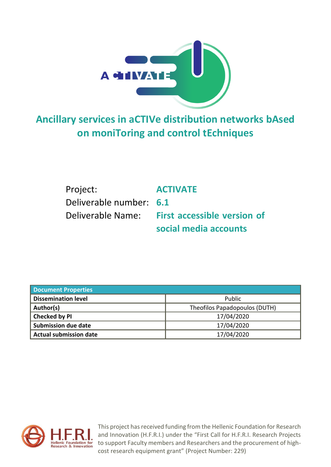

**Ancillary services in aCTIVe distribution networks bAsed on moniToring and control tEchniques**

| Project:                | <b>ACTIVATE</b>                    |
|-------------------------|------------------------------------|
| Deliverable number: 6.1 |                                    |
| Deliverable Name:       | <b>First accessible version of</b> |
|                         | social media accounts              |

| <b>Document Properties</b>    |                               |
|-------------------------------|-------------------------------|
| <b>Dissemination level</b>    | <b>Public</b>                 |
| Author(s)                     | Theofilos Papadopoulos (DUTH) |
| Checked by PI                 | 17/04/2020                    |
| <b>Submission due date</b>    | 17/04/2020                    |
| <b>Actual submission date</b> | 17/04/2020                    |



This project has received funding from the Hellenic Foundation for Research and Innovation (H.F.R.I.) under the "First Call for H.F.R.I. Research Projects to support Faculty members and Researchers and the procurement of highcost research equipment grant" (Project Number: 229)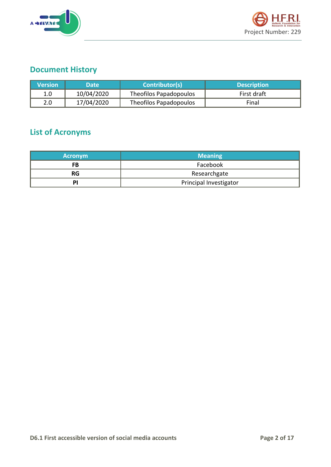



### **Document History**

| <b>Nersion</b> | <b>Date</b> | Contributor(s)         | <b>Description</b> |
|----------------|-------------|------------------------|--------------------|
| 1.0            | 10/04/2020  | Theofilos Papadopoulos | First draft        |
| 2.0            | 17/04/2020  | Theofilos Papadopoulos | Final              |

## **List of Acronyms**

| <b>Acronym</b> | <b>Meaning</b>         |
|----------------|------------------------|
| FB             | Facebook               |
| <b>RG</b>      | Researchgate           |
| PI             | Principal Investigator |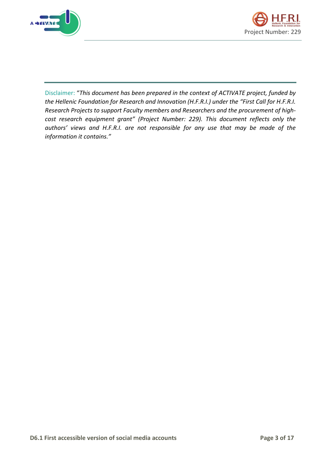



Disclaimer: "*This document has been prepared in the context of ACTIVATE project, funded by the Hellenic Foundation for Research and Innovation (H.F.R.I.) under the "First Call for H.F.R.I. Research Projects to support Faculty members and Researchers and the procurement of highcost research equipment grant" (Project Number: 229). This document reflects only the authors' views and H.F.R.I. are not responsible for any use that may be made of the information it contains."*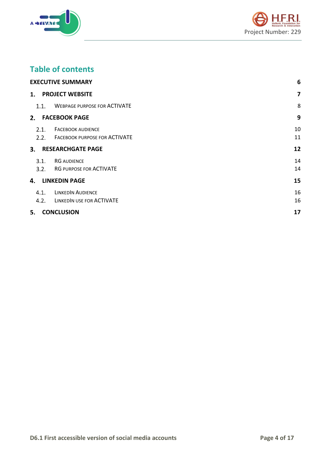



### **Table of contents**

|              | <b>EXECUTIVE SUMMARY</b>                                       | $6\phantom{1}6$ |
|--------------|----------------------------------------------------------------|-----------------|
| 1.           | <b>PROJECT WEBSITE</b>                                         | $\overline{7}$  |
| 1.1.         | <b>WEBPAGE PURPOSE FOR ACTIVATE</b>                            | 8               |
| 2.           | <b>FACEBOOK PAGE</b>                                           | 9               |
| 2.1.         | <b>FACEBOOK AUDIENCE</b><br>2.2. FACEBOOK PURPOSE FOR ACTIVATE | 10<br>11        |
|              | 3. RESEARCHGATE PAGE                                           | 12              |
| 3.1.<br>3.2. | <b>RG AUDIENCE</b><br>RG PURPOSE FOR ACTIVATE                  | 14<br>14        |
| 4.           | <b>LINKEDIN PAGE</b>                                           | 15              |
| 4.1.<br>4.2. | <b>LINKEDIN AUDIENCE</b><br>LINKEDIN USE FOR ACTIVATE          | 16<br>16        |
| 5.           | <b>CONCLUSION</b>                                              | 17              |
|              |                                                                |                 |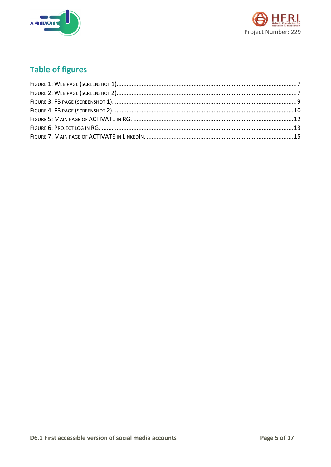



## **Table of figures**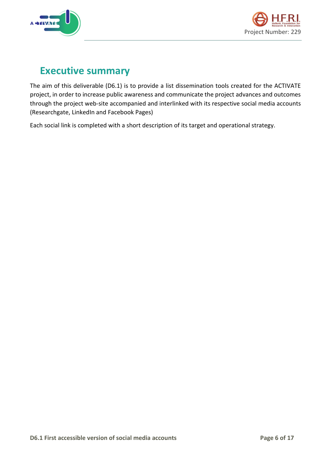



# <span id="page-5-0"></span>**Executive summary**

The aim of this deliverable (D6.1) is to provide a list dissemination tools created for the ACTIVATE project, in order to increase public awareness and communicate the project advances and outcomes through the project web-site accompanied and interlinked with its respective social media accounts (Researchgate, LinkedIn and Facebook Pages)

Each social link is completed with a short description of its target and operational strategy.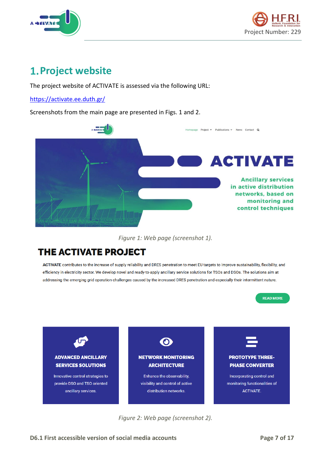



# <span id="page-6-0"></span>**1. Project website**

The project website of ACTIVATE is assessed via the following URL:

<https://activate.ee.duth.gr/>

Screenshots from the main page are presented in Figs. 1 and 2.



*Figure 1: Web page (screenshot 1).*

### <span id="page-6-1"></span>**THE ACTIVATE PROJECT**

ACTIVATE contributes to the increase of supply reliability and DRES penetration to meet EU targets to improve sustainability, flexibility, and efficiency in electricity sector. We develop novel and ready-to-apply ancillary service solutions for TSOs and DSOs. The solutions aim at addressing the emerging grid operation challenges caused by the increased DRES penetration and especially their intermittent nature.



<span id="page-6-2"></span>*Figure 2: Web page (screenshot 2).*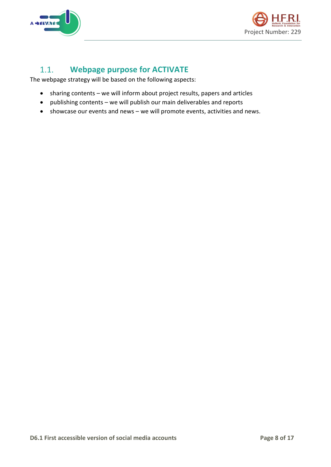



#### <span id="page-7-0"></span>**Webpage purpose for ACTIVATE**  $1.1.$

The webpage strategy will be based on the following aspects:

- sharing contents we will inform about project results, papers and articles
- publishing contents we will publish our main deliverables and reports
- showcase our events and news we will promote events, activities and news.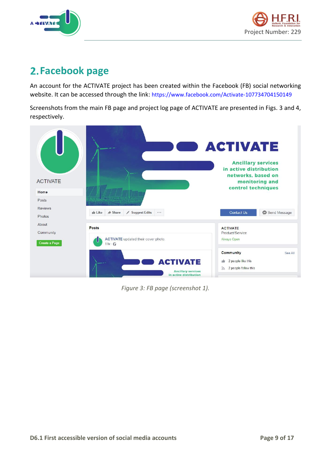



# <span id="page-8-0"></span>**Facebook page**

An account for the ACTIVATE project has been created within the Facebook (FB) social networking website. It can be accessed through the link: <https://www.facebook.com/Activate-107734704150149>

Screenshots from the main FB page and project log page of ACTIVATE are presented in Figs. 3 and 4, respectively.

<span id="page-8-1"></span>

*Figure 3: FB page (screenshot 1).*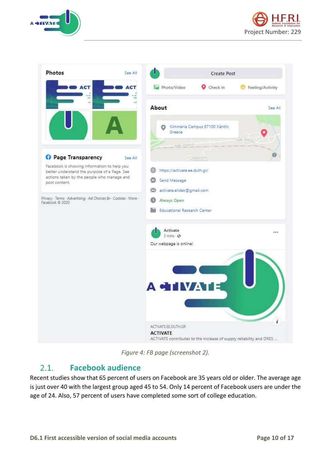





*Figure 4: FB page (screenshot 2).*

#### <span id="page-9-1"></span><span id="page-9-0"></span> $2.1.$ **Facebook audience**

Recent studies show that 65 percent of users on Facebook are 35 years old or older. The average age is just over 40 with the largest group aged 45 to 54. Only 14 percent of Facebook users are under the age of 24. Also, 57 percent of users have completed some sort of college education.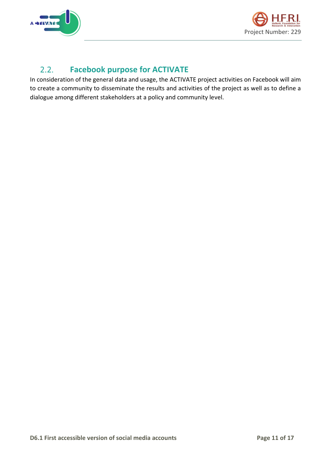



#### <span id="page-10-0"></span> $2.2.$ **Facebook purpose for ACTIVATE**

In consideration of the general data and usage, the ACTIVATE project activities on Facebook will aim to create a community to disseminate the results and activities of the project as well as to define a dialogue among different stakeholders at a policy and community level.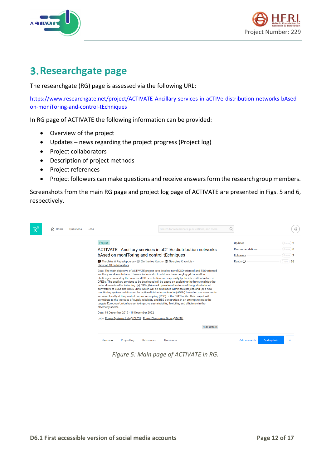



# <span id="page-11-0"></span>**Researchgate page**

The researchgate (RG) page is assessed via the following URL:

[https://www.researchgate.net/project/ACTIVATE-Ancillary-services-in-aCTIVe-distribution-networks-bAsed](https://www.researchgate.net/project/ACTIVATE-Ancillary-services-in-aCTIVe-distribution-networks-bAsed-on-moniToring-and-control-tEchniques)[on-moniToring-and-control-tEchniques](https://www.researchgate.net/project/ACTIVATE-Ancillary-services-in-aCTIVe-distribution-networks-bAsed-on-moniToring-and-control-tEchniques)

In RG page of ACTIVATE the following information can be provided:

- Overview of the project
- Updates news regarding the project progress (Project log)
- Project collaborators
- Description of project methods
- Project references
- Project followers can make questions and receive answers form the research group members.

Screenshots from the main RG page and project log page of ACTIVATE are presented in Figs. 5 and 6, respectively.

| <b>G</b> Home | <b>Ouestions</b> | Jobs |                                                                                                                                                                                                                                                                                                                                                                                                                                                                                                                                                                                                                                                                                                                                                                                                                                                                                                                                                                                                                                                                            |             |            |                  | Search for researchers, publications, and more |                     | Q |                                     |            |                                |  |
|---------------|------------------|------|----------------------------------------------------------------------------------------------------------------------------------------------------------------------------------------------------------------------------------------------------------------------------------------------------------------------------------------------------------------------------------------------------------------------------------------------------------------------------------------------------------------------------------------------------------------------------------------------------------------------------------------------------------------------------------------------------------------------------------------------------------------------------------------------------------------------------------------------------------------------------------------------------------------------------------------------------------------------------------------------------------------------------------------------------------------------------|-------------|------------|------------------|------------------------------------------------|---------------------|---|-------------------------------------|------------|--------------------------------|--|
|               |                  |      | Project                                                                                                                                                                                                                                                                                                                                                                                                                                                                                                                                                                                                                                                                                                                                                                                                                                                                                                                                                                                                                                                                    |             |            |                  |                                                |                     |   | <b>Updates</b>                      |            | $(0)$ new $)$ 2                |  |
|               |                  |      | ACTIVATE - Ancillary services in aCTIVe distribution networks<br>bAsed on moniToring and control tEchniques                                                                                                                                                                                                                                                                                                                                                                                                                                                                                                                                                                                                                                                                                                                                                                                                                                                                                                                                                                |             |            |                  |                                                |                     |   | Recommendations<br><b>Followers</b> |            | $0$ new $)$ 0<br>$0$ new $)$ 7 |  |
|               |                  |      | Theofilos A Papadopoulos · Bleftherios Kontis · Georgios Kryonidis ·<br>Show all 10 collaborators                                                                                                                                                                                                                                                                                                                                                                                                                                                                                                                                                                                                                                                                                                                                                                                                                                                                                                                                                                          |             |            |                  |                                                |                     |   | Reads (i)                           |            | -56<br>(0 <sub>new</sub> )     |  |
|               |                  |      | Goal: The main objective of ACTIVATE project is to develop novel DSO-oriented and TSO-oriented<br>ancillary service solutions. These solutions aim to address the emerging grid operation<br>challenges caused by the increased DG penetration and especially by the intermittent nature of<br>DRESs. The ancillary services to be developed will be based on exploiting the functionalities the<br>network assets offer including: (a) ESSs, (b) novel operational features of the grid-interfaced<br>converters of ESSs and DRES units, which will be developed within this project, and (c) a new<br>monitoring system architecture for active distribution networks (ADNs) based on measurements<br>acquired locally at the point of common coupling (PCC) of the DRES units. This project will<br>contribute to the increase of supply reliability and RES penetration, in an attempt to meet the<br>targets European Union has set to improve sustainability, flexibility, and efficiency in the<br>electricity sector.<br>Date: 18 December 2019 - 18 December 2022 |             |            |                  |                                                |                     |   |                                     |            |                                |  |
|               |                  |      | Labs: Power Systems Lab @ DUTH · Power Electronics Group@DUTH                                                                                                                                                                                                                                                                                                                                                                                                                                                                                                                                                                                                                                                                                                                                                                                                                                                                                                                                                                                                              |             |            |                  |                                                |                     |   |                                     |            |                                |  |
|               |                  |      |                                                                                                                                                                                                                                                                                                                                                                                                                                                                                                                                                                                                                                                                                                                                                                                                                                                                                                                                                                                                                                                                            |             |            |                  |                                                | <b>Hide details</b> |   |                                     |            |                                |  |
|               |                  |      | Overview                                                                                                                                                                                                                                                                                                                                                                                                                                                                                                                                                                                                                                                                                                                                                                                                                                                                                                                                                                                                                                                                   | Project log | References | <b>Questions</b> |                                                |                     |   | Add research                        | Add update |                                |  |

<span id="page-11-1"></span>*Figure 5: Main page of ACTIVATE in RG.*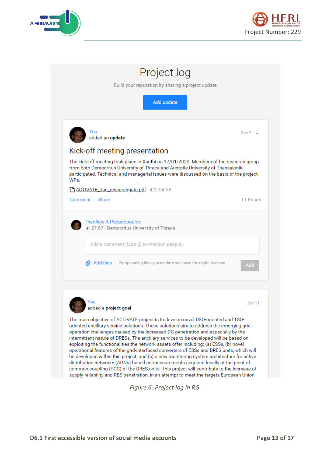



|         | You<br>added an update                                                                                                                                                                                                                                                   | Feb 7 $\sim$ |
|---------|--------------------------------------------------------------------------------------------------------------------------------------------------------------------------------------------------------------------------------------------------------------------------|--------------|
|         | Kick-off meeting presentation                                                                                                                                                                                                                                            |              |
| WPs.    | The kick-off meeting took place in Xanthi on 17/01/2020. Members of the research group<br>from both Democritus University of Thrace and Aristotle University of Thessaloniki<br>participated. Technical and managerial issues were discussed on the basis of the project |              |
| Comment | ACTIVATE_Jan_researchgate.pdf · 422.04 KB<br>Share                                                                                                                                                                                                                       | 11 Reads     |
|         |                                                                                                                                                                                                                                                                          |              |
|         | Theofilos A Papadopoulos<br>II 27.87 · Democritus University of Thrace                                                                                                                                                                                                   |              |
|         | Add a comment (type @ to mention people)                                                                                                                                                                                                                                 |              |
|         | <b>Q</b> Add files<br>By uploading files you confirm you have the rights to do so.                                                                                                                                                                                       | Add          |
|         |                                                                                                                                                                                                                                                                          |              |
|         | You                                                                                                                                                                                                                                                                      | Jan 11       |
|         |                                                                                                                                                                                                                                                                          |              |
|         | added a project goal<br>The main objective of ACTIVATE project is to develop novel DSO-oriented and TSO-                                                                                                                                                                 |              |

<span id="page-12-0"></span>*Figure 6: Project log in RG.*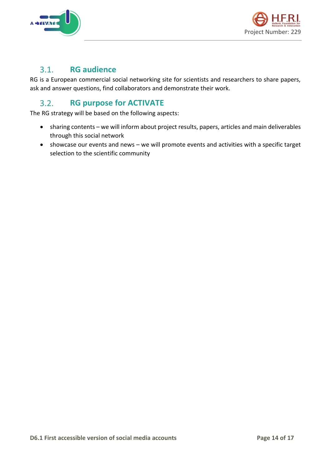



#### <span id="page-13-0"></span> $3.1.$ **RG audience**

RG is a European commercial social networking site for scientists and researchers to share papers, ask and answer questions, find collaborators and demonstrate their work.

#### <span id="page-13-1"></span> $3.2.$ **RG purpose for ACTIVATE**

The RG strategy will be based on the following aspects:

- sharing contents we will inform about project results, papers, articles and main deliverables through this social network
- showcase our events and news we will promote events and activities with a specific target selection to the scientific community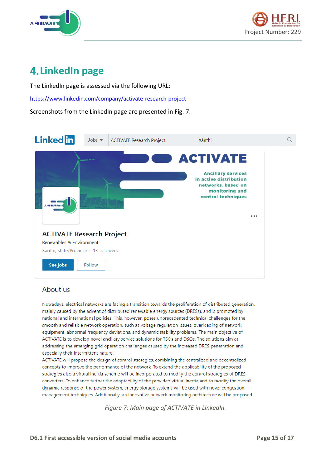



# <span id="page-14-0"></span>**LinkedIn page**

The LinkedIn page is assessed via the following URL:

<https://www.linkedin.com/company/activate-research-project>

Screenshots from the LinkedIn page are presented in Fig. 7.



### About us

Nowadays, electrical networks are facing a transition towards the proliferation of distributed generation, mainly caused by the advent of distributed renewable energy sources (DRESs), and is promoted by national and international policies. This, however, poses unprecedented technical challenges for the smooth and reliable network operation, such as voltage regulation issues, overloading of network equipment, abnormal frequency deviations, and dynamic stability problems. The main objective of ACTIVATE is to develop novel ancillary service solutions for TSOs and DSOs. The solutions aim at addressing the emerging grid operation challenges caused by the increased DRES penetration and especially their intermittent nature.

<span id="page-14-1"></span>ACTIVATE will propose the design of control strategies, combining the centralized and decentralized concepts to improve the performance of the network. To extend the applicability of the proposed strategies also a virtual inertia scheme will be incorporated to modify the control strategies of DRES converters. To enhance further the adaptability of the provided virtual inertia and to modify the overall dynamic response of the power system, energy storage systems will be used with novel congestion management techniques. Additionally, an innovative network monitoring architecture will be proposed

*Figure 7: Main page of ACTIVATE in LinkedIn.*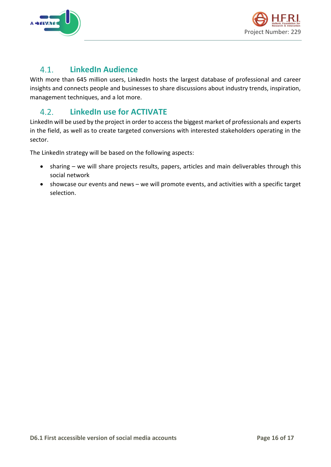



#### <span id="page-15-0"></span> $4.1.$ **LinkedIn Audience**

With more than 645 million users, LinkedIn hosts the largest database of professional and career insights and connects people and businesses to share discussions about industry trends, inspiration, management techniques, and a lot more.

#### <span id="page-15-1"></span>**LinkedIn use for ACTIVATE**  $4.2.$

LinkedIn will be used by the project in order to access the biggest market of professionals and experts in the field, as well as to create targeted conversions with interested stakeholders operating in the sector.

The LinkedIn strategy will be based on the following aspects:

- sharing we will share projects results, papers, articles and main deliverables through this social network
- showcase our events and news we will promote events, and activities with a specific target selection.